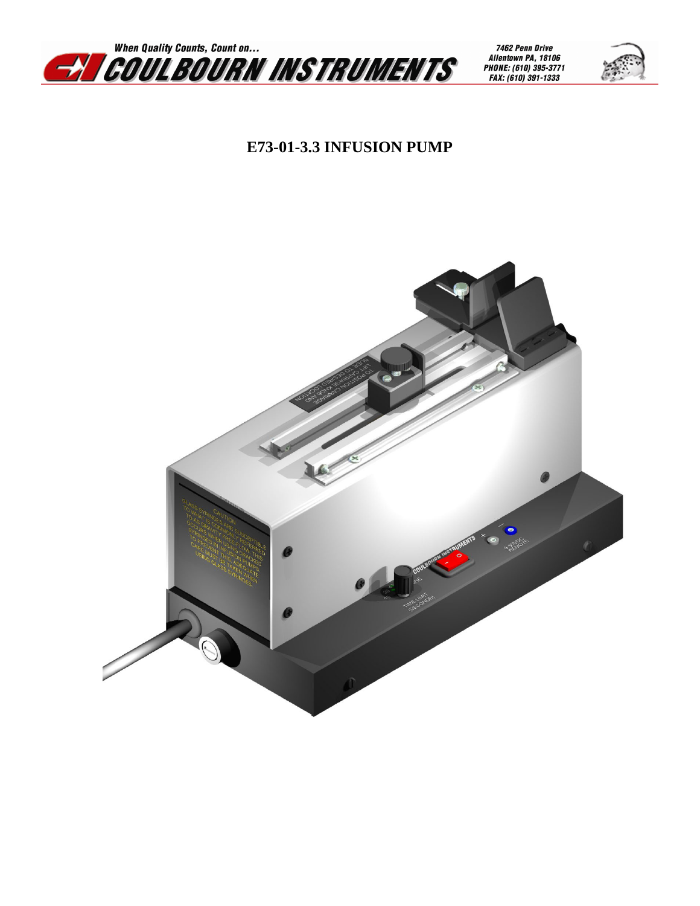

7462 Penn Drive Allentown PA, 18106 PHONE: (610) 395-3771<br>FAX: (610) 391-1333



# **E73-01-3.3 INFUSION PUMP**

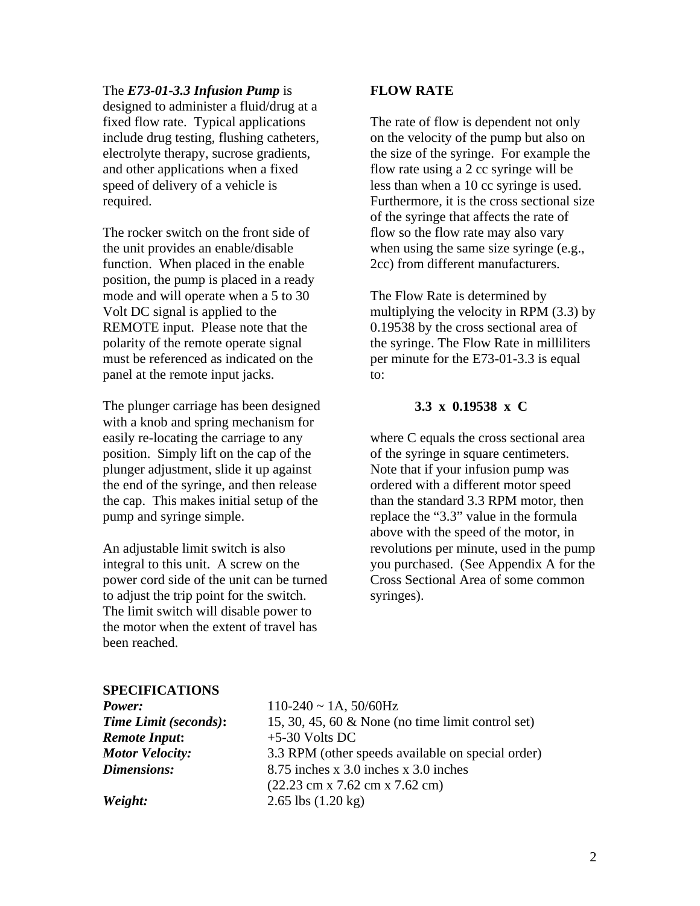#### The *E73-01-3.3 Infusion Pump* is

designed to administer a fluid/drug at a fixed flow rate. Typical applications include drug testing, flushing catheters, electrolyte therapy, sucrose gradients, and other applications when a fixed speed of delivery of a vehicle is required.

The rocker switch on the front side of the unit provides an enable/disable function. When placed in the enable position, the pump is placed in a ready mode and will operate when a 5 to 30 Volt DC signal is applied to the REMOTE input. Please note that the polarity of the remote operate signal must be referenced as indicated on the panel at the remote input jacks.

The plunger carriage has been designed with a knob and spring mechanism for easily re-locating the carriage to any position. Simply lift on the cap of the plunger adjustment, slide it up against the end of the syringe, and then release the cap. This makes initial setup of the pump and syringe simple.

An adjustable limit switch is also integral to this unit. A screw on the power cord side of the unit can be turned to adjust the trip point for the switch. The limit switch will disable power to the motor when the extent of travel has been reached.

#### **FLOW RATE**

The rate of flow is dependent not only on the velocity of the pump but also on the size of the syringe. For example the flow rate using a 2 cc syringe will be less than when a 10 cc syringe is used. Furthermore, it is the cross sectional size of the syringe that affects the rate of flow so the flow rate may also vary when using the same size syringe (e.g., 2cc) from different manufacturers.

The Flow Rate is determined by multiplying the velocity in RPM (3.3) by 0.19538 by the cross sectional area of the syringe. The Flow Rate in milliliters per minute for the E73-01-3.3 is equal to:

### **3.3 x 0.19538 x C**

where C equals the cross sectional area of the syringe in square centimeters. Note that if your infusion pump was ordered with a different motor speed than the standard 3.3 RPM motor, then replace the "3.3" value in the formula above with the speed of the motor, in revolutions per minute, used in the pump you purchased. (See Appendix A for the Cross Sectional Area of some common syringes).

### **SPECIFICATIONS**

*Remote Input***:** +5-30 Volts DC

*Power:* 110-240 ~ 1A, 50/60Hz *Time Limit (seconds)***:** 15, 30, 45, 60 & None (no time limit control set) *Motor Velocity:* 3.3 RPM (other speeds available on special order) *Dimensions:* 8.75 inches x 3.0 inches x 3.0 inches (22.23 cm x 7.62 cm x 7.62 cm) *Weight:* 2.65 lbs (1.20 kg)